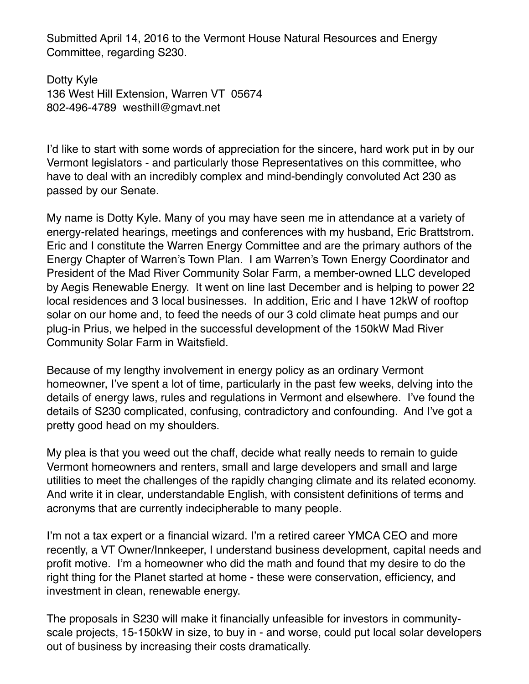Submitted April 14, 2016 to the Vermont House Natural Resources and Energy Committee, regarding S230.

Dotty Kyle 136 West Hill Extension, Warren VT 05674 802-496-4789 westhill@gmavt.net

I'd like to start with some words of appreciation for the sincere, hard work put in by our Vermont legislators - and particularly those Representatives on this committee, who have to deal with an incredibly complex and mind-bendingly convoluted Act 230 as passed by our Senate.

My name is Dotty Kyle. Many of you may have seen me in attendance at a variety of energy-related hearings, meetings and conferences with my husband, Eric Brattstrom. Eric and I constitute the Warren Energy Committee and are the primary authors of the Energy Chapter of Warren's Town Plan. I am Warren's Town Energy Coordinator and President of the Mad River Community Solar Farm, a member-owned LLC developed by Aegis Renewable Energy. It went on line last December and is helping to power 22 local residences and 3 local businesses. In addition, Eric and I have 12kW of rooftop solar on our home and, to feed the needs of our 3 cold climate heat pumps and our plug-in Prius, we helped in the successful development of the 150kW Mad River Community Solar Farm in Waitsfield.

Because of my lengthy involvement in energy policy as an ordinary Vermont homeowner, I've spent a lot of time, particularly in the past few weeks, delving into the details of energy laws, rules and regulations in Vermont and elsewhere. I've found the details of S230 complicated, confusing, contradictory and confounding. And I've got a pretty good head on my shoulders.

My plea is that you weed out the chaff, decide what really needs to remain to guide Vermont homeowners and renters, small and large developers and small and large utilities to meet the challenges of the rapidly changing climate and its related economy. And write it in clear, understandable English, with consistent definitions of terms and acronyms that are currently indecipherable to many people.

I'm not a tax expert or a financial wizard. I'm a retired career YMCA CEO and more recently, a VT Owner/Innkeeper, I understand business development, capital needs and profit motive. I'm a homeowner who did the math and found that my desire to do the right thing for the Planet started at home - these were conservation, efficiency, and investment in clean, renewable energy.

The proposals in S230 will make it financially unfeasible for investors in communityscale projects, 15-150kW in size, to buy in - and worse, could put local solar developers out of business by increasing their costs dramatically.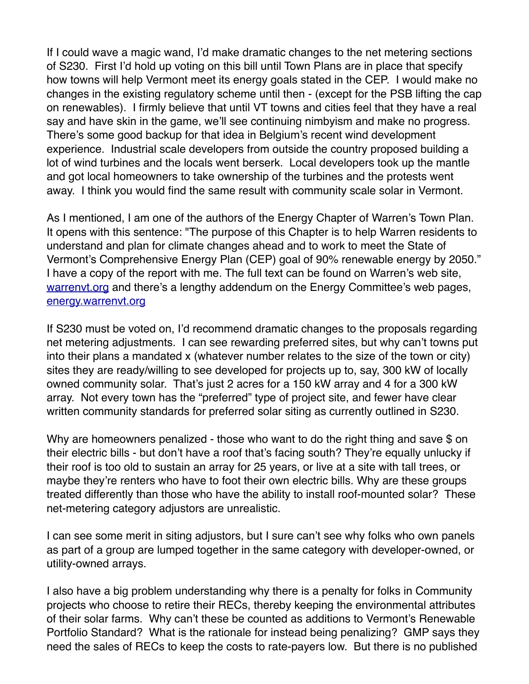If I could wave a magic wand, I'd make dramatic changes to the net metering sections of S230. First I'd hold up voting on this bill until Town Plans are in place that specify how towns will help Vermont meet its energy goals stated in the CEP. I would make no changes in the existing regulatory scheme until then - (except for the PSB lifting the cap on renewables). I firmly believe that until VT towns and cities feel that they have a real say and have skin in the game, we'll see continuing nimbyism and make no progress. There's some good backup for that idea in Belgium's recent wind development experience. Industrial scale developers from outside the country proposed building a lot of wind turbines and the locals went berserk. Local developers took up the mantle and got local homeowners to take ownership of the turbines and the protests went away. I think you would find the same result with community scale solar in Vermont.

As I mentioned, I am one of the authors of the Energy Chapter of Warren's Town Plan. It opens with this sentence: "The purpose of this Chapter is to help Warren residents to understand and plan for climate changes ahead and to work to meet the State of Vermont's Comprehensive Energy Plan (CEP) goal of 90% renewable energy by 2050." I have a copy of the report with me. The full text can be found on Warren's web site, [warrenvt.org](http://warrenvt.org) and there's a lengthy addendum on the Energy Committee's web pages, [energy.warrenvt.org](http://energy.warrenvt.org)

If S230 must be voted on, I'd recommend dramatic changes to the proposals regarding net metering adjustments. I can see rewarding preferred sites, but why can't towns put into their plans a mandated x (whatever number relates to the size of the town or city) sites they are ready/willing to see developed for projects up to, say, 300 kW of locally owned community solar. That's just 2 acres for a 150 kW array and 4 for a 300 kW array. Not every town has the "preferred" type of project site, and fewer have clear written community standards for preferred solar siting as currently outlined in S230.

Why are homeowners penalized - those who want to do the right thing and save \$ on their electric bills - but don't have a roof that's facing south? They're equally unlucky if their roof is too old to sustain an array for 25 years, or live at a site with tall trees, or maybe they're renters who have to foot their own electric bills. Why are these groups treated differently than those who have the ability to install roof-mounted solar? These net-metering category adjustors are unrealistic.

I can see some merit in siting adjustors, but I sure can't see why folks who own panels as part of a group are lumped together in the same category with developer-owned, or utility-owned arrays.

I also have a big problem understanding why there is a penalty for folks in Community projects who choose to retire their RECs, thereby keeping the environmental attributes of their solar farms. Why can't these be counted as additions to Vermont's Renewable Portfolio Standard? What is the rationale for instead being penalizing? GMP says they need the sales of RECs to keep the costs to rate-payers low. But there is no published